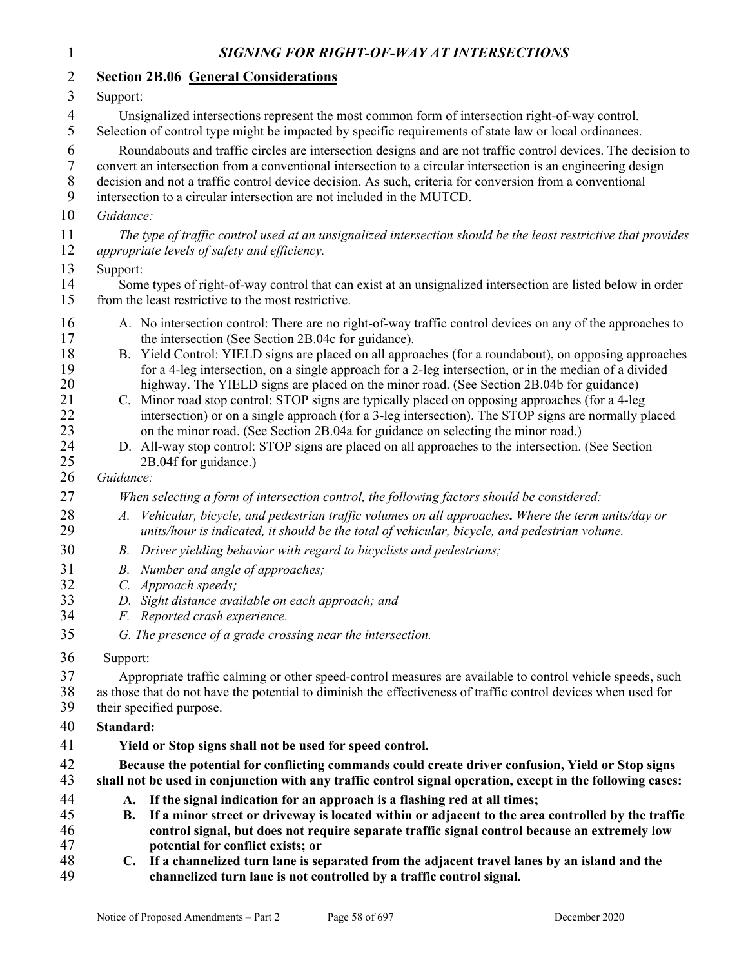| $\mathbf{1}$                                                                                 | SIGNING FOR RIGHT-OF-WAY AT INTERSECTIONS                                                                                                                                                                                                                                                                                                                                                                                                                                                                                                                                                                                                                                                                                                                                                                                                                                                                                                                                                                                                                                                                                                                                                                                                                                                                                                          |  |  |
|----------------------------------------------------------------------------------------------|----------------------------------------------------------------------------------------------------------------------------------------------------------------------------------------------------------------------------------------------------------------------------------------------------------------------------------------------------------------------------------------------------------------------------------------------------------------------------------------------------------------------------------------------------------------------------------------------------------------------------------------------------------------------------------------------------------------------------------------------------------------------------------------------------------------------------------------------------------------------------------------------------------------------------------------------------------------------------------------------------------------------------------------------------------------------------------------------------------------------------------------------------------------------------------------------------------------------------------------------------------------------------------------------------------------------------------------------------|--|--|
| $\overline{2}$                                                                               | <b>Section 2B.06 General Considerations</b>                                                                                                                                                                                                                                                                                                                                                                                                                                                                                                                                                                                                                                                                                                                                                                                                                                                                                                                                                                                                                                                                                                                                                                                                                                                                                                        |  |  |
| 3                                                                                            | Support:                                                                                                                                                                                                                                                                                                                                                                                                                                                                                                                                                                                                                                                                                                                                                                                                                                                                                                                                                                                                                                                                                                                                                                                                                                                                                                                                           |  |  |
| $\overline{4}$<br>5                                                                          | Unsignalized intersections represent the most common form of intersection right-of-way control.<br>Selection of control type might be impacted by specific requirements of state law or local ordinances.                                                                                                                                                                                                                                                                                                                                                                                                                                                                                                                                                                                                                                                                                                                                                                                                                                                                                                                                                                                                                                                                                                                                          |  |  |
| 6<br>$\boldsymbol{7}$<br>8<br>9                                                              | Roundabouts and traffic circles are intersection designs and are not traffic control devices. The decision to<br>convert an intersection from a conventional intersection to a circular intersection is an engineering design<br>decision and not a traffic control device decision. As such, criteria for conversion from a conventional<br>intersection to a circular intersection are not included in the MUTCD.                                                                                                                                                                                                                                                                                                                                                                                                                                                                                                                                                                                                                                                                                                                                                                                                                                                                                                                                |  |  |
| 10                                                                                           | Guidance:                                                                                                                                                                                                                                                                                                                                                                                                                                                                                                                                                                                                                                                                                                                                                                                                                                                                                                                                                                                                                                                                                                                                                                                                                                                                                                                                          |  |  |
| 11<br>12                                                                                     | The type of traffic control used at an unsignalized intersection should be the least restrictive that provides<br>appropriate levels of safety and efficiency.                                                                                                                                                                                                                                                                                                                                                                                                                                                                                                                                                                                                                                                                                                                                                                                                                                                                                                                                                                                                                                                                                                                                                                                     |  |  |
| 13<br>14<br>15                                                                               | Support:<br>Some types of right-of-way control that can exist at an unsignalized intersection are listed below in order<br>from the least restrictive to the most restrictive.                                                                                                                                                                                                                                                                                                                                                                                                                                                                                                                                                                                                                                                                                                                                                                                                                                                                                                                                                                                                                                                                                                                                                                     |  |  |
| 16<br>17<br>18<br>19<br>20<br>21<br>22<br>23<br>24<br>25<br>26<br>27<br>28<br>29<br>30<br>31 | A. No intersection control: There are no right-of-way traffic control devices on any of the approaches to<br>the intersection (See Section 2B.04c for guidance).<br>B. Yield Control: YIELD signs are placed on all approaches (for a roundabout), on opposing approaches<br>for a 4-leg intersection, on a single approach for a 2-leg intersection, or in the median of a divided<br>highway. The YIELD signs are placed on the minor road. (See Section 2B.04b for guidance)<br>C. Minor road stop control: STOP signs are typically placed on opposing approaches (for a 4-leg<br>intersection) or on a single approach (for a 3-leg intersection). The STOP signs are normally placed<br>on the minor road. (See Section 2B.04a for guidance on selecting the minor road.)<br>D. All-way stop control: STOP signs are placed on all approaches to the intersection. (See Section<br>2B.04f for guidance.)<br>Guidance:<br>When selecting a form of intersection control, the following factors should be considered:<br>A. Vehicular, bicycle, and pedestrian traffic volumes on all approaches. Where the term units/day or<br>units/hour is indicated, it should be the total of vehicular, bicycle, and pedestrian volume.<br>B. Driver yielding behavior with regard to bicyclists and pedestrians;<br>B. Number and angle of approaches; |  |  |
| 32<br>33                                                                                     | C. Approach speeds;<br>D. Sight distance available on each approach; and                                                                                                                                                                                                                                                                                                                                                                                                                                                                                                                                                                                                                                                                                                                                                                                                                                                                                                                                                                                                                                                                                                                                                                                                                                                                           |  |  |
| 34                                                                                           | F. Reported crash experience.                                                                                                                                                                                                                                                                                                                                                                                                                                                                                                                                                                                                                                                                                                                                                                                                                                                                                                                                                                                                                                                                                                                                                                                                                                                                                                                      |  |  |
| 35                                                                                           | G. The presence of a grade crossing near the intersection.                                                                                                                                                                                                                                                                                                                                                                                                                                                                                                                                                                                                                                                                                                                                                                                                                                                                                                                                                                                                                                                                                                                                                                                                                                                                                         |  |  |
| 36                                                                                           | Support:                                                                                                                                                                                                                                                                                                                                                                                                                                                                                                                                                                                                                                                                                                                                                                                                                                                                                                                                                                                                                                                                                                                                                                                                                                                                                                                                           |  |  |
| 37<br>38<br>39                                                                               | Appropriate traffic calming or other speed-control measures are available to control vehicle speeds, such<br>as those that do not have the potential to diminish the effectiveness of traffic control devices when used for<br>their specified purpose.                                                                                                                                                                                                                                                                                                                                                                                                                                                                                                                                                                                                                                                                                                                                                                                                                                                                                                                                                                                                                                                                                            |  |  |
| 40                                                                                           | Standard:                                                                                                                                                                                                                                                                                                                                                                                                                                                                                                                                                                                                                                                                                                                                                                                                                                                                                                                                                                                                                                                                                                                                                                                                                                                                                                                                          |  |  |
| 41                                                                                           | Yield or Stop signs shall not be used for speed control.                                                                                                                                                                                                                                                                                                                                                                                                                                                                                                                                                                                                                                                                                                                                                                                                                                                                                                                                                                                                                                                                                                                                                                                                                                                                                           |  |  |
| 42<br>43                                                                                     | Because the potential for conflicting commands could create driver confusion, Yield or Stop signs<br>shall not be used in conjunction with any traffic control signal operation, except in the following cases:                                                                                                                                                                                                                                                                                                                                                                                                                                                                                                                                                                                                                                                                                                                                                                                                                                                                                                                                                                                                                                                                                                                                    |  |  |
| 44<br>45<br>46<br>47                                                                         | If the signal indication for an approach is a flashing red at all times;<br>A.<br>If a minor street or driveway is located within or adjacent to the area controlled by the traffic<br>В.<br>control signal, but does not require separate traffic signal control because an extremely low<br>potential for conflict exists; or                                                                                                                                                                                                                                                                                                                                                                                                                                                                                                                                                                                                                                                                                                                                                                                                                                                                                                                                                                                                                    |  |  |
| 48<br>49                                                                                     | If a channelized turn lane is separated from the adjacent travel lanes by an island and the<br>$\mathbf{C}$ .<br>channelized turn lane is not controlled by a traffic control signal.                                                                                                                                                                                                                                                                                                                                                                                                                                                                                                                                                                                                                                                                                                                                                                                                                                                                                                                                                                                                                                                                                                                                                              |  |  |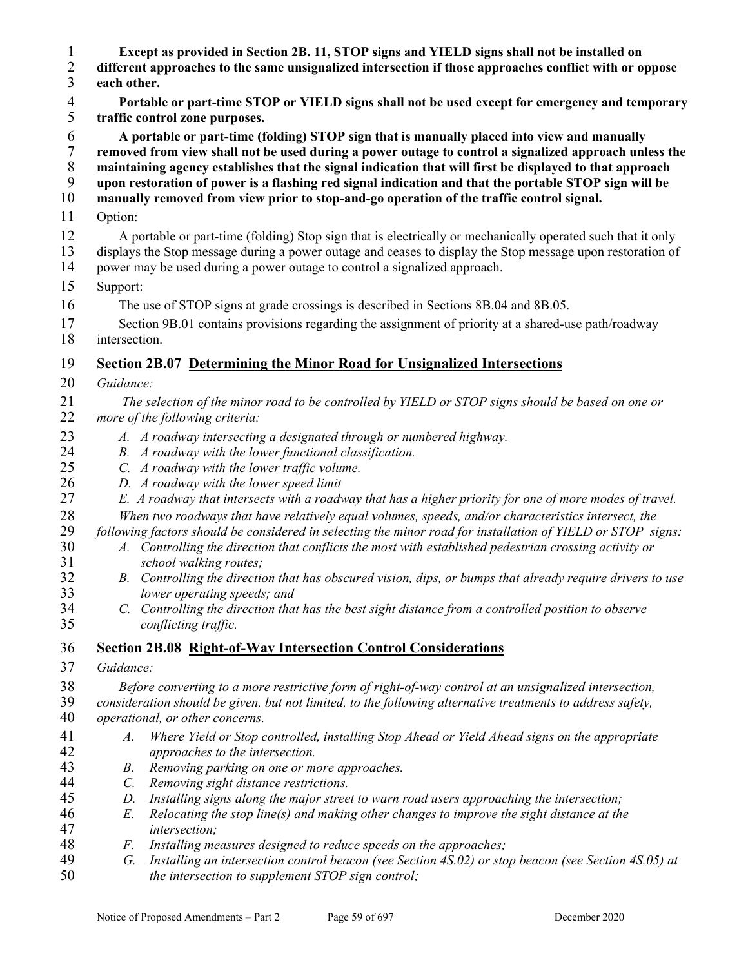2 different approaches to the same unsignalized intersection if those approaches conflict with or oppose each other. each other. **Portable or part-time STOP or YIELD signs shall not be used except for emergency and temporary traffic control zone purposes. A portable or part-time (folding) STOP sign that is manually placed into view and manually removed from view shall not be used during a power outage to control a signalized approach unless the maintaining agency establishes that the signal indication that will first be displayed to that approach upon restoration of power is a flashing red signal indication and that the portable STOP sign will be manually removed from view prior to stop-and-go operation of the traffic control signal.**  11 Option: 12 A portable or part-time (folding) Stop sign that is electrically or mechanically operated such that it only 13 displays the Stop message during a power outage and ceases to display the Stop message upon restoration of 14 power may be used during a power outage to control a signalized approach. 15 Support: 16 The use of STOP signs at grade crossings is described in Sections 8B.04 and 8B.05. 17 Section 9B.01 contains provisions regarding the assignment of priority at a shared-use path/roadway 18 intersection. **Section 2B.07 Determining the Minor Road for Unsignalized Intersections**  *Guidance: The selection of the minor road to be controlled by YIELD or STOP signs should be based on one or*  more of the following criteria: *A. A roadway intersecting a designated through or numbered highway. B. A roadway with the lower functional classification. C. A roadway with the lower traffic volume. D. A roadway with the lower speed limit E. A roadway that intersects with a roadway that has a higher priority for one of more modes of travel. When two roadways that have relatively equal volumes, speeds, and/or characteristics intersect, the following factors should be considered in selecting the minor road for installation of YIELD or STOP signs: A. Controlling the direction that conflicts the most with established pedestrian crossing activity or school walking routes; B. Controlling the direction that has obscured vision, dips, or bumps that already require drivers to use lower operating speeds; and C. Controlling the direction that has the best sight distance from a controlled position to observe conflicting traffic.*  **Section 2B.08 Right-of-Way Intersection Control Considerations**  *Guidance: Before converting to a more restrictive form of right-of-way control at an unsignalized intersection,* 

**Except as provided in Section 2B. 11, STOP signs and YIELD signs shall not be installed on** 

- *consideration should be given, but not limited, to the following alternative treatments to address safety, operational, or other concerns.*
- *A. Where Yield or Stop controlled, installing Stop Ahead or Yield Ahead signs on the appropriate approaches to the intersection.*
- *B. Removing parking on one or more approaches.*
- *C. Removing sight distance restrictions.*
- *D. Installing signs along the major street to warn road users approaching the intersection;*
- *E. Relocating the stop line(s) and making other changes to improve the sight distance at the intersection;*
- *F. Installing measures designed to reduce speeds on the approaches;*
- *G. Installing an intersection control beacon (see Section 4S.02) or stop beacon (see Section 4S.05) at the intersection to supplement STOP sign control;*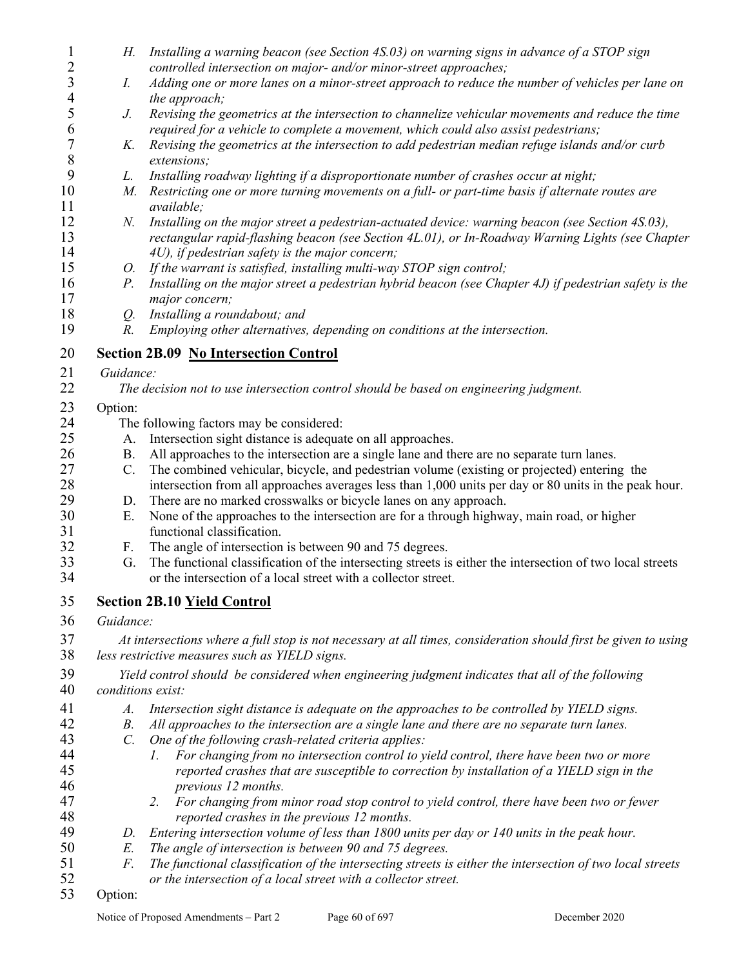| $\mathbf{1}$        | Н.                                                                                                                                                               | Installing a warning beacon (see Section 4S.03) on warning signs in advance of a STOP sign                 |  |
|---------------------|------------------------------------------------------------------------------------------------------------------------------------------------------------------|------------------------------------------------------------------------------------------------------------|--|
| 2                   |                                                                                                                                                                  | controlled intersection on major- and/or minor-street approaches;                                          |  |
| $\mathfrak{Z}$<br>4 | I.                                                                                                                                                               | Adding one or more lanes on a minor-street approach to reduce the number of vehicles per lane on           |  |
| 5                   |                                                                                                                                                                  | the approach;                                                                                              |  |
|                     | J.                                                                                                                                                               | Revising the geometrics at the intersection to channelize vehicular movements and reduce the time          |  |
| 6                   |                                                                                                                                                                  | required for a vehicle to complete a movement, which could also assist pedestrians;                        |  |
| $\boldsymbol{7}$    | K.                                                                                                                                                               | Revising the geometrics at the intersection to add pedestrian median refuge islands and/or curb            |  |
| 8                   |                                                                                                                                                                  | extensions;                                                                                                |  |
| 9                   | L.                                                                                                                                                               | Installing roadway lighting if a disproportionate number of crashes occur at night;                        |  |
| 10                  | М.                                                                                                                                                               | Restricting one or more turning movements on a full- or part-time basis if alternate routes are            |  |
| 11<br>12            |                                                                                                                                                                  | available;                                                                                                 |  |
| 13                  | N.                                                                                                                                                               | Installing on the major street a pedestrian-actuated device: warning beacon (see Section 4S.03),           |  |
| 14                  |                                                                                                                                                                  | rectangular rapid-flashing beacon (see Section 4L.01), or In-Roadway Warning Lights (see Chapter           |  |
| 15                  |                                                                                                                                                                  | 4U), if pedestrian safety is the major concern;                                                            |  |
| 16                  | 0.                                                                                                                                                               | If the warrant is satisfied, installing multi-way STOP sign control;                                       |  |
| 17                  | $P_{\cdot}$                                                                                                                                                      | Installing on the major street a pedestrian hybrid beacon (see Chapter 4J) if pedestrian safety is the     |  |
| 18                  |                                                                                                                                                                  | major concern;                                                                                             |  |
| 19                  | Q.<br>$R$ .                                                                                                                                                      | Installing a roundabout; and<br>Employing other alternatives, depending on conditions at the intersection. |  |
|                     |                                                                                                                                                                  |                                                                                                            |  |
| 20                  |                                                                                                                                                                  | <b>Section 2B.09 No Intersection Control</b>                                                               |  |
| 21                  | Guidance:                                                                                                                                                        |                                                                                                            |  |
| 22                  |                                                                                                                                                                  | The decision not to use intersection control should be based on engineering judgment.                      |  |
| 23                  | Option:                                                                                                                                                          |                                                                                                            |  |
| 24                  | The following factors may be considered:                                                                                                                         |                                                                                                            |  |
| 25                  | A.                                                                                                                                                               | Intersection sight distance is adequate on all approaches.                                                 |  |
| 26                  | <b>B.</b>                                                                                                                                                        | All approaches to the intersection are a single lane and there are no separate turn lanes.                 |  |
| 27                  | $\mathcal{C}$ .                                                                                                                                                  | The combined vehicular, bicycle, and pedestrian volume (existing or projected) entering the                |  |
| 28                  |                                                                                                                                                                  | intersection from all approaches averages less than 1,000 units per day or 80 units in the peak hour.      |  |
| 29                  | D.                                                                                                                                                               | There are no marked crosswalks or bicycle lanes on any approach.                                           |  |
| 30                  | Ε.                                                                                                                                                               | None of the approaches to the intersection are for a through highway, main road, or higher                 |  |
| 31                  |                                                                                                                                                                  | functional classification.                                                                                 |  |
| 32                  | F.                                                                                                                                                               | The angle of intersection is between 90 and 75 degrees.                                                    |  |
| 33                  | G.                                                                                                                                                               | The functional classification of the intersecting streets is either the intersection of two local streets  |  |
| 34                  |                                                                                                                                                                  | or the intersection of a local street with a collector street.                                             |  |
| 35                  |                                                                                                                                                                  | <b>Section 2B.10 Yield Control</b>                                                                         |  |
|                     |                                                                                                                                                                  |                                                                                                            |  |
| 36                  | Guidance:                                                                                                                                                        |                                                                                                            |  |
| 37<br>38            | At intersections where a full stop is not necessary at all times, consideration should first be given to using<br>less restrictive measures such as YIELD signs. |                                                                                                            |  |
| 39                  | Yield control should be considered when engineering judgment indicates that all of the following                                                                 |                                                                                                            |  |
| 40                  | conditions exist:                                                                                                                                                |                                                                                                            |  |
| 41                  | A.                                                                                                                                                               | Intersection sight distance is adequate on the approaches to be controlled by YIELD signs.                 |  |
| 42                  | <i>B</i> .                                                                                                                                                       | All approaches to the intersection are a single lane and there are no separate turn lanes.                 |  |
| 43                  | $\mathcal{C}$ .                                                                                                                                                  | One of the following crash-related criteria applies:                                                       |  |
| 44                  |                                                                                                                                                                  | For changing from no intersection control to yield control, there have been two or more<br>$\Gamma$ .      |  |
| 45                  |                                                                                                                                                                  | reported crashes that are susceptible to correction by installation of a YIELD sign in the                 |  |
| 46                  |                                                                                                                                                                  | previous 12 months.                                                                                        |  |
| 47                  |                                                                                                                                                                  | For changing from minor road stop control to yield control, there have been two or fewer<br>2.             |  |
| 48                  |                                                                                                                                                                  | reported crashes in the previous 12 months.                                                                |  |
| 49                  | D.                                                                                                                                                               | Entering intersection volume of less than 1800 units per day or 140 units in the peak hour.                |  |
| 50                  | E.                                                                                                                                                               | The angle of intersection is between 90 and 75 degrees.                                                    |  |
| 51                  | F.                                                                                                                                                               | The functional classification of the intersecting streets is either the intersection of two local streets  |  |
| 52                  |                                                                                                                                                                  | or the intersection of a local street with a collector street.                                             |  |
| 53                  | Option:                                                                                                                                                          |                                                                                                            |  |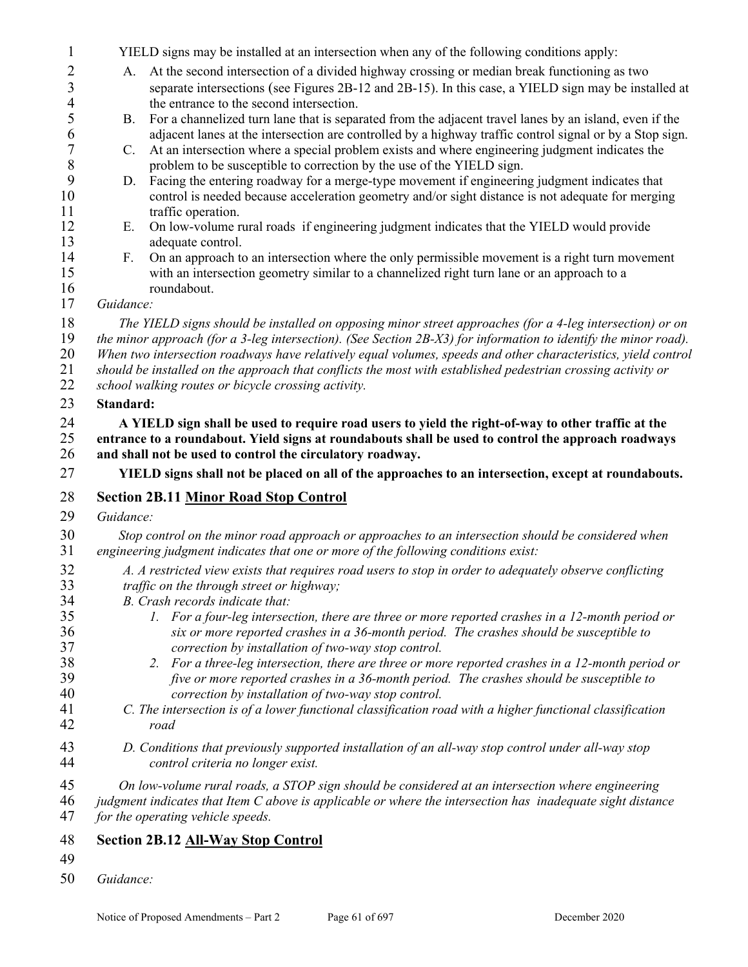1 YIELD signs may be installed at an intersection when any of the following conditions apply: 2 A. At the second intersection of a divided highway crossing or median break functioning as two 3 separate intersections (see Figures 2B-12 and 2B-15). In this case, a YIELD sign may be installed at 4 the entrance to the second intersection.**.** 5 B. For a channelized turn lane that is separated from the adjacent travel lanes by an island, even if the 6 adjacent lanes at the intersection are controlled by a highway traffic control signal or by a Stop sign.<br>
C. At an intersection where a special problem exists and where engineering judgment indicates the 7 C. At an intersection where a special problem exists and where engineering judgment indicates the problem to be susceptible to correction by the use of the YIELD sign. 8 problem to be susceptible to correction by the use of the YIELD sign.<br>9 D. Facing the entering roadway for a merge-type movement if engineering 9 D. Facing the entering roadway for a merge-type movement if engineering judgment indicates that<br>10 control is needed because acceleration geometry and/or sight distance is not adequate for mergin control is needed because acceleration geometry and/or sight distance is not adequate for merging 11 traffic operation. 12 E. On low-volume rural roads if engineering judgment indicates that the YIELD would provide 13 adequate control.<br>14 F. On an approach to 14 F. On an approach to an intersection where the only permissible movement is a right turn movement 15 with an intersection geometry similar to a channelized right turn lane or an approach to a 16 roundabout. *Guidance: The YIELD signs should be installed on opposing minor street approaches (for a 4-leg intersection) or on the minor approach (for a 3-leg intersection). (See Section 2B-X3) for information to identify the minor road). When two intersection roadways have relatively equal volumes, speeds and other characteristics, yield control should be installed on the approach that conflicts the most with established pedestrian crossing activity or school walking routes or bicycle crossing activity.* **Standard: A YIELD sign shall be used to require road users to yield the right-of-way to other traffic at the entrance to a roundabout. Yield signs at roundabouts shall be used to control the approach roadways and shall not be used to control the circulatory roadway. YIELD signs shall not be placed on all of the approaches to an intersection, except at roundabouts. Section 2B.11 Minor Road Stop Control**  *Guidance: Stop control on the minor road approach or approaches to an intersection should be considered when engineering judgment indicates that one or more of the following conditions exist: A. A restricted view exists that requires road users to stop in order to adequately observe conflicting traffic on the through street or highway; B. Crash records indicate that: 1. For a four-leg intersection, there are three or more reported crashes in a 12-month period or six or more reported crashes in a 36-month period. The crashes should be susceptible to correction by installation of two-way stop control. 2. For a three-leg intersection, there are three or more reported crashes in a 12-month period or five or more reported crashes in a 36-month period. The crashes should be susceptible to correction by installation of two-way stop control. C. The intersection is of a lower functional classification road with a higher functional classification road D. Conditions that previously supported installation of an all-way stop control under all-way stop control criteria no longer exist. On low-volume rural roads, a STOP sign should be considered at an intersection where engineering judgment indicates that Item C above is applicable or where the intersection has inadequate sight distance for the operating vehicle speeds.* **Section 2B.12 All-Way Stop Control**  *Guidance:*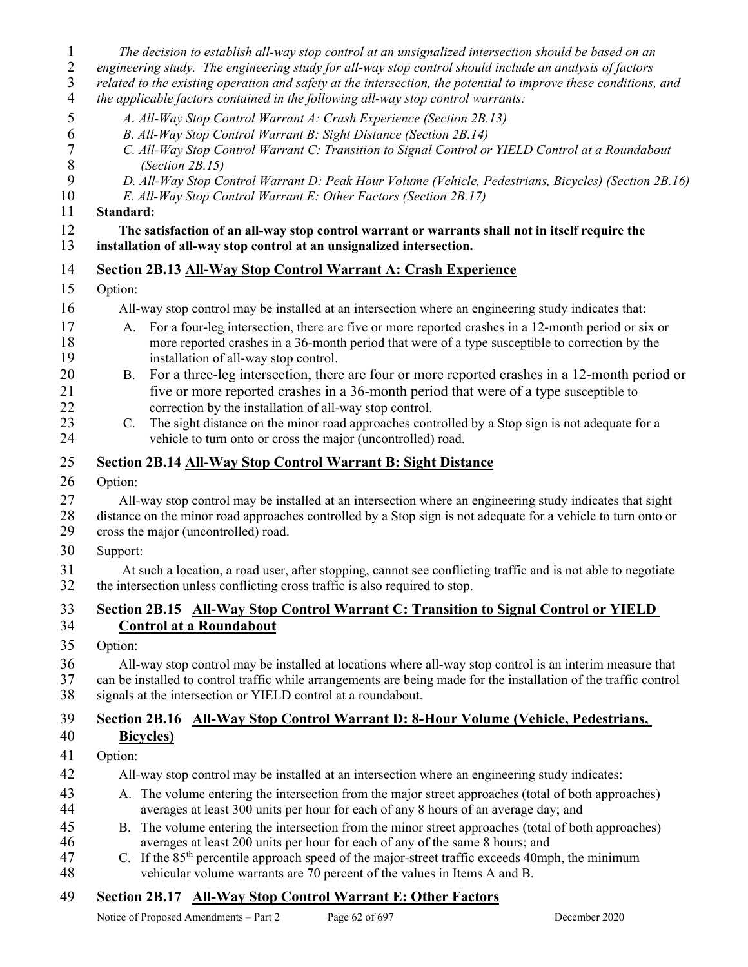- 1 *The decision to establish all-way stop control at an unsignalized intersection should be based on an*
- 2 *engineering study. The engineering study for all-way stop control should include an analysis of factors*
- 3 *related to the existing operation and safety at the intersection, the potential to improve these conditions, and*
- 4 *the applicable factors contained in the following all-way stop control warrants:*
- 5 *A*. *All-Way Stop Control Warrant A: Crash Experience (Section 2B.13)*
- 6 *B. All-Way Stop Control Warrant B: Sight Distance (Section 2B.14)*
- 7 *C. All-Way Stop Control Warrant C: Transition to Signal Control or YIELD Control at a Roundabout*  8 *(Section 2B.15)*
- 9 *D. All-Way Stop Control Warrant D: Peak Hour Volume (Vehicle, Pedestrians, Bicycles) (Section 2B.16)* 
	- 10 *E. All-Way Stop Control Warrant E: Other Factors (Section 2B.17)*

#### 11 **Standard:**

#### 12 **The satisfaction of an all-way stop control warrant or warrants shall not in itself require the**  13 **installation of all-way stop control at an unsignalized intersection.**

### 14 **Section 2B.13 All-Way Stop Control Warrant A: Crash Experience**

#### 15 Option:

- 16 All-way stop control may be installed at an intersection where an engineering study indicates that:
- 17 A. For a four-leg intersection, there are five or more reported crashes in a 12-month period or six or nore reported crashes in a 36-month period that were of a type susceptible to correction by the 18 more reported crashes in a 36-month period that were of a type susceptible to correction by the installation of all-way stop control. installation of all-way stop control.
- 20 B. For a three-leg intersection, there are four or more reported crashes in a 12-month period or 21 five or more reported crashes in a 36-month period that were of a type susceptible to 22 correction by the installation of all-way stop control.<br>23 C. The sight distance on the minor road approaches cont
- 23 C. The sight distance on the minor road approaches controlled by a Stop sign is not adequate for a 24 vehicle to turn onto or cross the major (uncontrolled) road.

#### 25 **Section 2B.14 All-Way Stop Control Warrant B: Sight Distance**

26 Option:

27 All-way stop control may be installed at an intersection where an engineering study indicates that sight 28 distance on the minor road approaches controlled by a Stop sign is not adequate for a vehicle to turn onto or

- 29 cross the major (uncontrolled) road.
- 30 Support:

31 At such a location, a road user, after stopping, cannot see conflicting traffic and is not able to negotiate<br>32 the intersection unless conflicting cross traffic is also required to stop. the intersection unless conflicting cross traffic is also required to stop.

# 33 **Section 2B.15 All-Way Stop Control Warrant C: Transition to Signal Control or YIELD**  34 **Control at a Roundabout**

35 Option:

36 All-way stop control may be installed at locations where all-way stop control is an interim measure that 37 can be installed to control traffic while arrangements are being made for the installation of the traffic control 38 signals at the intersection or YIELD control at a roundabout.

# 39 **Section 2B.16 All-Way Stop Control Warrant D: 8-Hour Volume (Vehicle, Pedestrians,**

# 40 **Bicycles)**

- 41 Option:
- 42 All-way stop control may be installed at an intersection where an engineering study indicates:
- 43 A. The volume entering the intersection from the major street approaches (total of both approaches) 44 averages at least 300 units per hour for each of any 8 hours of an average day; and
- 45 B. The volume entering the intersection from the minor street approaches (total of both approaches) 46 averages at least 200 units per hour for each of any of the same 8 hours; and
- 47 c. If the  $85<sup>th</sup>$  percentile approach speed of the major-street traffic exceeds 40mph, the minimum 48 vehicular volume warrants are 70 percent of the values in Items A and B.

### 49 **Section 2B.17 All-Way Stop Control Warrant E: Other Factors**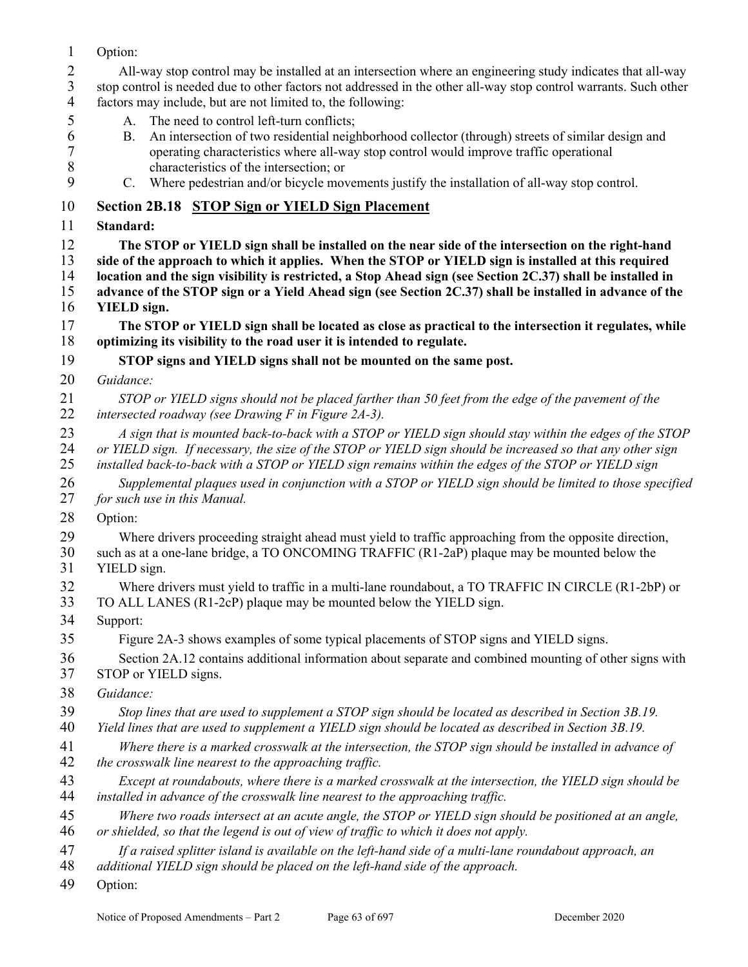- 1 Option: 2 All-way stop control may be installed at an intersection where an engineering study indicates that all-way 3 stop control is needed due to other factors not addressed in the other all-way stop control warrants. Such other factors may include, but are not limited to, the following: factors may include, but are not limited to, the following: 5 A. The need to control left-turn conflicts; 6 B. An intersection of two residential neighborhood collector (through) streets of similar design and operating characteristics where all-way stop control would improve traffic operational 7 operating characteristics where all-way stop control would improve traffic operational 8 characteristics of the intersection; or 9 C. Where pedestrian and/or bicycle movements justify the installation of all-way stop control. 10 **Section 2B.18 STOP Sign or YIELD Sign Placement**  11 **Standard:**  12 **The STOP or YIELD sign shall be installed on the near side of the intersection on the right-hand**  13 **side of the approach to which it applies. When the STOP or YIELD sign is installed at this required** 14 **location and the sign visibility is restricted, a Stop Ahead sign (see Section 2C.37) shall be installed in** location and the sign visibility is restricted, a Stop Ahead sign (see Section 2C.37) shall be installed in 15 **advance of the STOP sign or a Yield Ahead sign (see Section 2C.37) shall be installed in advance of the**  16 **YIELD sign.**  17 **The STOP or YIELD sign shall be located as close as practical to the intersection it regulates, while**  18 **optimizing its visibility to the road user it is intended to regulate.**  19 **STOP signs and YIELD signs shall not be mounted on the same post.**  20 *Guidance:*  21 *STOP or YIELD signs should not be placed farther than 50 feet from the edge of the pavement of the*  22 *intersected roadway (see Drawing F in Figure 2A-3).*  23 *A sign that is mounted back-to-back with a STOP or YIELD sign should stay within the edges of the STOP*  24 *or YIELD sign. If necessary, the size of the STOP or YIELD sign should be increased so that any other sign*  25 *installed back-to-back with a STOP or YIELD sign remains within the edges of the STOP or YIELD sign*  26 *Supplemental plaques used in conjunction with a STOP or YIELD sign should be limited to those specified*  27 *for such use in this Manual.*  28 Option: 29 Where drivers proceeding straight ahead must yield to traffic approaching from the opposite direction, 30 such as at a one-lane bridge, a TO ONCOMING TRAFFIC (R1-2aP) plaque may be mounted below the 31 YIELD sign. 32 Where drivers must yield to traffic in a multi-lane roundabout, a TO TRAFFIC IN CIRCLE (R1-2bP) or TO ALL LANES (R1-2cP) plaque may be mounted below the YIELD sign. 33 TO ALL LANES (R1-2cP) plaque may be mounted below the YIELD sign. 34 Support: 35 Figure 2A-3 shows examples of some typical placements of STOP signs and YIELD signs. 36 Section 2A.12 contains additional information about separate and combined mounting of other signs with 37 STOP or YIELD signs. 38 *Guidance:*  39 *Stop lines that are used to supplement a STOP sign should be located as described in Section 3B.19.*  40 *Yield lines that are used to supplement a YIELD sign should be located as described in Section 3B.19.*  41 *Where there is a marked crosswalk at the intersection, the STOP sign should be installed in advance of*  42 *the crosswalk line nearest to the approaching traffic.*  43 *Except at roundabouts, where there is a marked crosswalk at the intersection, the YIELD sign should be*  44 *installed in advance of the crosswalk line nearest to the approaching traffic.*  45 *Where two roads intersect at an acute angle, the STOP or YIELD sign should be positioned at an angle,*  46 *or shielded, so that the legend is out of view of traffic to which it does not apply.*  47 *If a raised splitter island is available on the left-hand side of a multi-lane roundabout approach, an*  48 *additional YIELD sign should be placed on the left-hand side of the approach.*
- 49 Option: